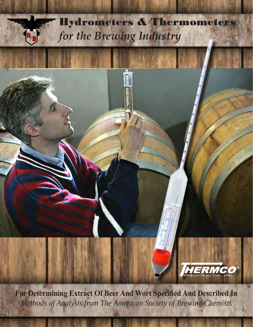

**For Determining Extract Of Beer And Wort Specified And Described In** *Methods of Analysis from The American Society of Brewing Chemists*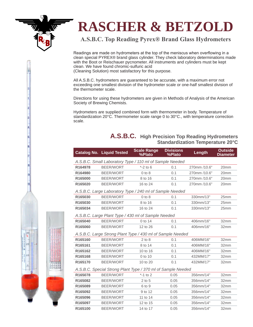# **RASCHER & BETZOLD**

# **A.S.B.C. Top Reading Pyrex® Brand Glass Hydrometers**

Readings are made on hydrometers at the top of the meniscus when overflowing in a clean special PYREX® brand glass cylinder. They check laboratory determinations made with the Boot or Reischauer pycnometer. All instruments and cylinders must be kept clean. We have found chromic-sulfuric acid

(Cleaning Solution) most satisfactory for this purpose.

All A.S.B.C. hydrometers are guaranteed to be accurate, with a maximum error not exceeding one smallest division of the hydrometer scale or one-half smallest division of the thermometer scale.

Directions for using these hydrometers are given in Methods of Analysis of the American Society of Brewing Chemists.

Hydrometers are supplied combined form with thermometer in body. Temperature of standardization 20°C. Thermometer scale range 0 to 30°C., with temperature correction scale.

### **A.S.B.C. High Precision Top Reading Hydrometers Standardization Temperature 20°C**

|         | <b>Catalog No. Liquid Tested</b> | <b>Scale Range</b><br>%Plato                                 | <b>Divisions</b><br>%Plato | Length       | <b>Outside</b><br><b>Diameter</b> |
|---------|----------------------------------|--------------------------------------------------------------|----------------------------|--------------|-----------------------------------|
|         |                                  | A.S.B.C. Small Laboratory Type / 110 ml of Sample Needed     |                            |              |                                   |
| R164978 | <b>BEER/WORT</b>                 | $*$ -2 to 6                                                  | 0.1                        | 270mm /10.6" | 20mm                              |
| R164980 | BEER/WORT                        | $0$ to $8$                                                   | 0.1                        | 270mm /10.6" | 20mm                              |
| R165000 | <b>BEER/WORT</b>                 | 8 to 16                                                      | 0.1                        | 270mm /10.6" | 20mm                              |
| R165020 | <b>BEER/WORT</b>                 | 16 to 24                                                     | 0.1                        | 270mm /10.6" | 20mm                              |
|         |                                  | A.S.B.C. Large Laboratory Type / 240 ml of Sample Needed     |                            |              |                                   |
| R165030 | <b>BEER/WORT</b>                 | $0$ to $8$                                                   | 0.1                        | 330mm/13"    | 25mm                              |
| R165030 | <b>BEER/WORT</b>                 | 8 to 16                                                      | 0.1                        | 330mm/13"    | 25mm                              |
| R165034 | <b>BEER/WORT</b>                 | 16 to 24                                                     | 0.1                        | 330mm/13"    | 25mm                              |
|         |                                  | A.S.B.C. Large Plant Type / 430 ml of Sample Needed          |                            |              |                                   |
| R165040 | <b>BEER/WORT</b>                 | 0 to 14                                                      | 0.1                        | 406mm/16"    | 32mm                              |
| R165060 | <b>BEER/WORT</b>                 | 12 to 26                                                     | 0.1                        | 406mm/16"    | 32mm                              |
|         |                                  | A.S.B.C. Large Strong Plant Type / 430 ml of Sample Needed   |                            |              |                                   |
| R165160 | <b>BEER/WORT</b>                 | $2$ to $8$                                                   | 0.1                        | 406MM/16"    | 32mm                              |
| R165161 | <b>BEER/WORT</b>                 | 8 to 14                                                      | 0.1                        | 406MM/16"    | 32mm                              |
| R165162 | <b>BEER/WORT</b>                 | 10 to 16                                                     | 0.1                        | 406MM/16"    | 32mm                              |
| R165168 | BEER/WORT                        | 0 to 10                                                      | 0.1                        | 432MM/17"    | 32mm                              |
| R165170 | <b>BEER/WORT</b>                 | 10 to 20                                                     | 0.1                        | 432MM/17"    | 32mm                              |
|         |                                  | A.S.B.C. Special Strong Plant Type / 370 ml of Sample Needed |                            |              |                                   |
| R165078 | <b>BEER/WORT</b>                 | $*$ -1 to 2                                                  | 0.05                       | 356mm/14"    | 32mm                              |
| R165082 | BEER/WORT                        | $2$ to $5$                                                   | 0.05                       | 356mm/14"    | 32mm                              |
| R165089 | BEER/WORT                        | 6 to 9                                                       | 0.05                       | 356mm/14"    | 32mm                              |
| R165092 | <b>BEER/WORT</b>                 | 9 to 12                                                      | 0.05                       | 356mm/14"    | 32mm                              |
| R165096 | <b>BEER/WORT</b>                 | 11 to 14                                                     | 0.05                       | 356mm/14"    | 32mm                              |
| R165097 | <b>BEER/WORT</b>                 | 12 to 15                                                     | 0.05                       | 356mm/14"    | 32mm                              |

**R165100** BEER/WORT 14 to 17 0.05 356mm/14" 32mm

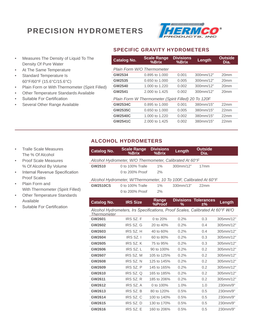# **PRECISION HYDROMETERS**



- Measures The Density of Liquid To The Density Of Pure Water
- At The Same Temperature
- Standard Temperature Is 60°F/60°F (15.6°C/15.6°C)
- Plain Form or With Thermometer (Spirit Filled)
- Other Temperature Standards Available
- Suitable For Certification
- Several Other Range Available

#### **SPECIFIC GRAVITY HYDROMETERS**

| <b>Catalog No.</b>         | <b>Scale Range</b><br>%Brix                         | <b>Divisions</b><br>%Brix | Length    | <b>Outside</b><br>Dia. |
|----------------------------|-----------------------------------------------------|---------------------------|-----------|------------------------|
| Plain Form W/O Thermometer |                                                     |                           |           |                        |
| GW2534                     | 0.895 to 1.000                                      | 0.001                     | 300mm/12" | 20 <sub>mm</sub>       |
| GW2535                     | 0.650 to 1.000                                      | 0.005                     | 300mm/12" | 20 <sub>mm</sub>       |
| <b>GW2540</b>              | 1.000 to 1.220                                      | 0.002                     | 300mm/12" | 20 <sub>mm</sub>       |
| GW2541                     | 2.000 to 1.425                                      | 0.002                     | 300mm/12" | 20 <sub>mm</sub>       |
|                            | Plain Form W Thermometer (Spirit Filled) 20 To 120F |                           |           |                        |
| <b>GW2534C</b>             | 0.895 to 1,000                                      | 0.001                     | 380mm/15" | 22 <sub>mm</sub>       |
| <b>GW2535C</b>             | 0.650 to 1.000                                      | 0.005                     | 380mm/15" | 22mm                   |
| <b>GW2540C</b>             | 1.000 to 1.220                                      | 0.002                     | 380mm/15" | 22 <sub>mm</sub>       |
| <b>GW2541C</b>             | 2,000 to 1,425                                      | 0.002                     | 380mm/15" | 22 <sub>mm</sub>       |

### **ALCOHOL HYDROMETERS**

| <b>Catalog No.</b>                                      | <b>Scale Range</b><br>%Brix                                                   | <b>Divisions</b><br>%Brix | Length    | <b>Outside</b><br>Dia.               |           |  |  |  |  |  |
|---------------------------------------------------------|-------------------------------------------------------------------------------|---------------------------|-----------|--------------------------------------|-----------|--|--|--|--|--|
| Alcohol Hydrometer, W/O Thermometer, Calibrated At 60°F |                                                                               |                           |           |                                      |           |  |  |  |  |  |
| GW2510                                                  | 0 to 100% Tralle                                                              | $1\%$                     | 300mm/12" | 17 <sub>mm</sub>                     |           |  |  |  |  |  |
|                                                         | 0 to 200% Proof                                                               | 2%                        |           |                                      |           |  |  |  |  |  |
|                                                         | Alcohol Hydrometer, W/Thermometer, 10 To 100F, Calibrated At 60°F             |                           |           |                                      |           |  |  |  |  |  |
| <b>GW2510CS</b>                                         | 0 to 100% Tralle                                                              | $1\%$                     | 330mm/13" | 22mm                                 |           |  |  |  |  |  |
|                                                         | 0 to 200% Proof                                                               | 2%                        |           |                                      |           |  |  |  |  |  |
| <b>Catalog No.</b>                                      | <b>IRS Size</b>                                                               | Range<br>%Proof           | %         | <b>Divisions Tolerances</b><br>$±\%$ | Length    |  |  |  |  |  |
| Thermometer                                             | Alcohol Hydrometers, Irs Specifications, Proof Scales, Calibrated At 60°F W/O |                           |           |                                      |           |  |  |  |  |  |
| GW2601                                                  | IRS SZ. F                                                                     | 0 to $20%$                | 0.2%      | 0.3                                  | 305mm/12" |  |  |  |  |  |
| GW2602                                                  | IRS SZ. G                                                                     | 20 to 40%                 | 0.2%      | 0.4                                  | 305mm/12" |  |  |  |  |  |
| GW2603                                                  | IRS SZ. H                                                                     | 40 to 60%                 | 0.2%      | 0.4                                  | 305mm/12" |  |  |  |  |  |

|        |           |             | $\cup$ . $\sim$ 70 | <u>.</u> | – – – – – – – – – – – |
|--------|-----------|-------------|--------------------|----------|-----------------------|
| GW2603 | IRS SZ. H | 40 to 60%   | 0.2%               | 0.4      | 305mm/12"             |
| GW2604 | IRS SZ. I | 60 to 80%   | 0.2%               | 0.3      | 305mm/12"             |
| GW2605 | IRS SZ. K | 75 to 95%   | 0.2%               | 0.3      | 305mm/12"             |
| GW2606 | IRS SZ. L | 90 to 100%  | 0.2%               | 0.2      | 305mm/12"             |
| GW2607 | IRS SZ. M | 105 to 125% | $0.2\%$            | 0.2      | 305mm/12"             |
| GW2608 | IRS SZ. N | 125 to 145% | 0.2%               | 0.2      | 305mm/12"             |
| GW2609 | IRS SZ. P | 145 to 165% | 0.2%               | 0.2      | 305mm/12"             |
| GW2610 | IRS SZ. Q | 165 to 185% | 0.2%               | 0.2      | 305mm/12"             |
| GW2611 | IRS SZ. R | 185 to 206% | 0.2%               | 0.2      | 305mm/12"             |
| GW2612 | IRS SZ. A | 0 to 100%   | 1.0%               | 1.0      | 230mm/9"              |
| GW2613 | IRS SZ. B | 80 to 120%  | 0.5%               | 0.5      | 230mm/9"              |
| GW2614 | IRS SZ. C | 100 to 140% | 0.5%               | 0.5      | 230mm/9"              |
| GW2615 | IRS SZ. D | 130 to 170% | 0.5%               | 0.5      | 230mm/9"              |
| GW2616 | IRS SZ. E | 160 to 206% | 0.5%               | 0.5      | 230mm/9"              |

- Tralle Scale Measures The % Of Alcohol
- Proof Scale Measures % Of Alcohol By Volume
- Internal Revenue Specification Proof Scales
- Plain Form and With Thermometer (Spirit Filled)
- **Other Temperature Standards** Available
- Suitable For Certification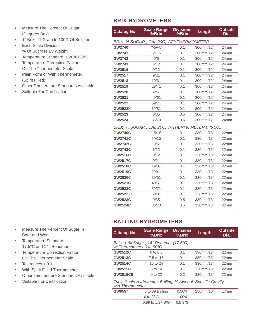- Measure The Percent Of Sugar (Degrees Brix)
- 1° Brix = 1 Gram In 100G Of Solution
- Each Scale Division = % Of Sucrose By Weight
- Temperature Standard Is 20°C/20°C
- Temperature Correction Factor On The Thermometer Scale
- Plain Form or With Thermometer (Spirit Filled)
- Other Temperature Standards Available
- Suitable For Certification

### **BRIX HYDROMETERS**

| <b>Catalog No.</b> | <b>Scale Range</b><br>%Brix                   | <b>Divisions</b><br>%Brix | Length    | <b>Outside</b><br>Dia. |
|--------------------|-----------------------------------------------|---------------------------|-----------|------------------------|
|                    | BRIX % SUGAR, CAL 20C, W/O THERMOMETER        |                           |           |                        |
| <b>GW2740</b>      | $* - 5/ + 5$                                  | 0.1                       | 300mm/12" | 24mm                   |
| GW2741             | $5/+15$                                       | 0.1                       | 300mm/12" | 24 <sub>mm</sub>       |
| <b>GW2742</b>      | 0/6                                           | 0.1                       | 300mm/12" | 24mm                   |
| GW2743             | 6/12                                          | 0.1                       | 300mm/12" | 24mm                   |
| GW2516             | 0/12                                          | 0.1                       | 300mm/12" | 24mm                   |
| GW2517             | 9/21                                          | 0.1                       | 300mm/12" | 24mm                   |
| GW2518             | 19/31                                         | 0.1                       | 300mm/12" | 24mm                   |
| GW2519             | 29/41                                         | 0.1                       | 300mm/12" | 24 <sub>mm</sub>       |
| GW2520             | 39/51                                         | 0.1                       | 300mm/12" | 24 <sub>mm</sub>       |
| GW2521             | 49/61                                         | 0.1                       | 300mm/12" | 24mm                   |
| GW2522             | 59/71                                         | 0.1                       | 300mm/12" | 24mm                   |
| <b>GW2522X</b>     | 69/81                                         | 0.1                       | 300mm/12" | 24 <sub>mm</sub>       |
| GW2523             | 0/35                                          | 0.5                       | 300mm/12" | 24mm                   |
| <b>GW2524</b>      | 35/70                                         | 0.5                       | 300mm/12" | 24mm                   |
|                    | BRIX % SUGAR, CAL 20C, W/THERMOMETER 0 to 50C |                           |           |                        |
| <b>GW2740C</b>     | $* - 5/ + 5$                                  | 0.1                       | 330mm/13" | 22mm                   |
| <b>GW2741C</b>     | $5/+15$                                       | 0.1                       | 330mm/13" | 22mm                   |
| <b>GW2742C</b>     | 0/6                                           | 0.1                       | 330mm/13" | 22mm                   |
| <b>GW2743C</b>     | 6/12                                          | 0.1                       | 330mm/13" | 22mm                   |
| <b>GW2516C</b>     | 0/12                                          | 0.1                       | 330mm/13" | 22mm                   |
| <b>GW2517C</b>     | 9/21                                          | 0.1                       | 330mm/13" | 22mm                   |
| <b>GW2518C</b>     | 19/31                                         | 0.1                       | 330mm/13" | 22mm                   |
| <b>GW2519C</b>     | 29/41                                         | 0.1                       | 330mm/13" | 22mm                   |
| <b>GW2520C</b>     | 39/51                                         | 0.1                       | 330mm/13" | 22mm                   |
| <b>GW2521C</b>     | 49/61                                         | 0.1                       | 330mm/13" | 22mm                   |
| <b>GW2522C</b>     | 59/71                                         | 0.1                       | 330mm/13" | 22mm                   |
| <b>GW2522XC</b>    | 69/81                                         | 0.1                       | 330mm/13" | 22mm                   |
| <b>GW2523C</b>     | 0/35                                          | 0.5                       | 330mm/13" | 22mm                   |
| <b>GW2524C</b>     | 35/70                                         | 0.5                       | 330mm/13" | 22mm                   |

### **BALLING HYDROMETERS**

| <b>Catalog No.</b>                                                               | <b>Scale Range</b><br>%Brix | <b>Divisions</b><br>%Brix | Length    | <b>Outside</b><br>Dia. |  |  |  |  |
|----------------------------------------------------------------------------------|-----------------------------|---------------------------|-----------|------------------------|--|--|--|--|
| Balling % Sugar, 14° Reaumur (17.5°C),<br>$W/$ Thermometer 0 to 50 $^{\circ}$ C  |                             |                           |           |                        |  |  |  |  |
| <b>GW2512C</b>                                                                   | 0 to 8.5                    | 0.1                       | 330mm/13" | 22mm                   |  |  |  |  |
| <b>GW2513C</b>                                                                   | 7.5 to 15                   | 0.1                       | 330mm/13" | 22 <sub>mm</sub>       |  |  |  |  |
| <b>GW2514C</b>                                                                   | 15 to 24                    | 0.1                       | 330mm/13" | 22mm                   |  |  |  |  |
| <b>GW2515C</b>                                                                   | 0 to 14                     | 0.1                       | 330mm/13" | 22 <sub>mm</sub>       |  |  |  |  |
| <b>GW2515CB</b>                                                                  | $0$ to 22                   | 0.2                       | 330mm/13" | 22 <sub>mm</sub>       |  |  |  |  |
| Triple Scale Hydrometer, Balling, % Alcohol, Specific Gravity<br>w/o Thermometer |                             |                           |           |                        |  |  |  |  |
| <b>GW9557</b>                                                                    | 0 to 39 Balling             | 0.50%                     | 250mm/10" | 17mm                   |  |  |  |  |
|                                                                                  | 0 to 23 Alcohol             | 1.00%                     |           |                        |  |  |  |  |
|                                                                                  | 0.99 to 1.17 S/G            | $0.5$ S/G                 |           |                        |  |  |  |  |

- Measure The Percent Of Sugar In Beer and Wort
- Temperature Standard Is 17.5°C and 14° Reaumur
- Temperature Correction Factor On The Thermometer Scale
- Tolerances  $\pm$  0.1
- With Spirit Filled Thermometer
- Other Temperature Standards Available
- Suitable For Certification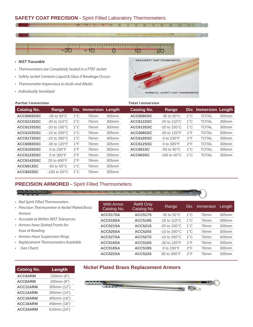### **SAFETY COAT PRECISION -** Spirit Filled Laboratory Thermometers



- *• NIST Traceable*
- *• Thermometers are Completely Sealed in a PTEF Jacket*
- *• Safety Jacket Contains Liquid & Glass if Breakage Occurs*
- *• Thermometer Impervious to Acids and Alkalis*
- *• Individually Serialized*



| <b>Partial Immersion</b> |                           |               |                       |                   | <b>Total Immersion</b> |                           |               |                              |       |
|--------------------------|---------------------------|---------------|-----------------------|-------------------|------------------------|---------------------------|---------------|------------------------------|-------|
| <b>Catalog No.</b>       | Range                     |               | Div. Immersion Length |                   | <b>Catalog No.</b>     | Range                     |               | <b>Div. Immersion Length</b> |       |
| <b>ACC6093SSC</b>        | $-35$ to $50^{\circ}$ C   | $1^{\circ}$ C | 76mm                  | 305mm             | ACC609SSC              | $-35$ to $50^{\circ}$ C   | $1^{\circ}$ C | <b>TOTAL</b>                 | 305mm |
| ACC6113SSC               | $-20$ to 110 $^{\circ}$ C | $1^{\circ}$ C | 76 <sub>mm</sub>      | 300mm             | ACC611SSC              | $-20$ to 110 $^{\circ}$ C | $1^{\circ}$ C | <b>TOTAL</b>                 | 305mm |
| <b>ACC6133SSC</b>        | $-20$ to $150^{\circ}$ C  | $1^{\circ}$ C | 76mm                  | 300 <sub>mm</sub> | ACC613SSC              | $-20$ to $150^{\circ}$ C  | $1^{\circ}$ C | <b>TOTAL</b>                 | 305mm |
| <b>ACC6153SSC</b>        | $-10$ to 200 $^{\circ}$ C | $1^{\circ}$ C | 76mm                  | 305mm             | ACC608SSC              | $-30$ to 120 $\degree$ F  | $1^{\circ}$ F | <b>TOTAL</b>                 | 305mm |
| <b>ACC6173SSC</b>        | $-10$ to 260 $^{\circ}$ C | $1^{\circ}$ C | 76mm                  | 405mm             | ACC610SSC              | 0 to $230^\circ$ F        | $2^{\circ}F$  | <b>TOTAL</b>                 | 305mm |
| <b>ACC6083SSC</b>        | $-30$ to 120 $\degree$ F  | $1^{\circ}$ F | 76mm                  | 305mm             | ACC612SSC              | 0 to $300^\circ$ F        | $2^{\circ}F$  | <b>TOTAL</b>                 | 305mm |
| <b>ACC6103SSC</b>        | 0 to $230^\circ F$        | $2^{\circ}F$  | 76mm                  | 300mm             | <b>ACC601SC</b>        | $-50$ to $50^{\circ}$ C   | $1^{\circ}$ C | <b>TOTAL</b>                 | 305mm |
| <b>ACC6123SSC</b>        | 0 to $300^\circ F$        | $2^{\circ}F$  | 76mm                  | 300mm             | <b>ACC603SC</b>        | $-100$ to $50^{\circ}$ C  | $1^{\circ}$ C | <b>TOTAL</b>                 | 305mm |
| <b>ACC6143SSC</b>        | 20 to $400^{\circ}$ F     | $2^{\circ}F$  | 76 <sub>mm</sub>      | 305mm             |                        |                           |               |                              |       |
| ACC6013SC                | $-50$ to $50^{\circ}$ C   | $1^{\circ}$ C | 76mm                  | 305mm             |                        |                           |               |                              |       |
| <b>ACC6033SC</b>         | $-100$ to $50^{\circ}$ C  | $1^{\circ}$ C | 76mm                  | 305mm             |                        |                           |               |                              |       |

### **PRECISION ARMORED -** Spirit Filled Thermometers

With Armor Catalog No.

- *• Red Spirit Filled Thermometers*
- *• Precision Thermometer in Nickel Plated Brass Armors*
- *• Accurate to Within NIST Tolerances*
- *• Armors have Slotted Fronts for Ease of Reading*
- *• Armors Have Suspension Rings*

**ACC18ARM** 458mm (18") **ACC24ARM** 610mm (24")

- Replacem
- (See Cha

| Replacement Thermometers Available |             | ACC516SA | <b>ACC516S</b>                                | $-30$ to $120^{\circ}F$ | $1^{\circ}$ F      | 76mm         |      |  |
|------------------------------------|-------------|----------|-----------------------------------------------|-------------------------|--------------------|--------------|------|--|
| (See Chart)                        |             |          | ACC518SA                                      | <b>ACC518S</b>          | 0 to $230^\circ$ F | $2^{\circ}F$ | 76mm |  |
|                                    |             |          | ACC522SA                                      | <b>ACC522S</b>          | 30 to 300°F        | $2^{\circ}F$ | 76mm |  |
| <b>Catalog No.</b>                 | Length      |          | <b>Nickel Plated Brass Replacement Armors</b> |                         |                    |              |      |  |
| ACC6ARM                            | 150mm (6")  |          |                                               |                         |                    |              |      |  |
| <b>ACC8ARM</b>                     | 200mm (8")  |          | C C C C C 3 3 3 3 3 4                         |                         |                    |              |      |  |
| ACC12ARM                           | 305mm (12") |          | 0.9.00                                        |                         |                    | F R          |      |  |
| ACC14ARM                           | 355mm (14") |          |                                               |                         |                    |              |      |  |
| ACC16ARM                           | 405mm (16") |          |                                               |                         |                    |              |      |  |

#### **Nacement Armors**

Refill Only

**Catalog No.** Range Div. Immersion Length<br>Catalog No.

**ACC517SA ACC517S** -35 to 50°C 1°C 76mm 305mm **ACC519SA ACC519S** -20 to 110°C 1°C 76mm 305mm **ACC521SA ACC521S** -20 to 150°C 1°C 76mm 305mm **ACC525SA ACC525S** -10 to 200°C 1°C 76mm 305mm **ACC527SA ACC527S** -10 to 260°C 1°C 76mm 405mm

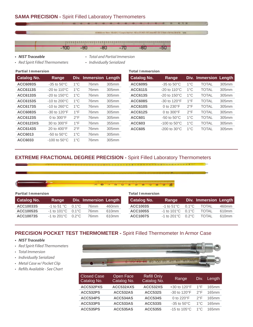

- *• Red Spirit Filled Thermometers*
- 
- 
- *• Individually Serialized*

| <b>Partial Immersion</b> | <b>Total Immersion</b> |
|--------------------------|------------------------|
|--------------------------|------------------------|

| <b>Catalog No.</b> | Range                     |               | <b>Div. Immersion Length</b> |       | <b>Catalog No.</b> | Range                     |               | Div. Immersion Length |       |
|--------------------|---------------------------|---------------|------------------------------|-------|--------------------|---------------------------|---------------|-----------------------|-------|
| ACC6093S           | $-35$ to $50^{\circ}$ C   | $1^{\circ}$ C | 76mm                         | 305mm | <b>ACC609S</b>     | $-35$ to $50^{\circ}$ C   | $1^{\circ}$ C | <b>TOTAL</b>          | 305mm |
| <b>ACC6113S</b>    | $-20$ to 110 $^{\circ}$ C | $1^{\circ}$ C | 76mm                         | 305mm | <b>ACC611S</b>     | $-20$ to 110 $^{\circ}$ C | $1^{\circ}$ C | <b>TOTAL</b>          | 305mm |
| <b>ACC6133S</b>    | $-20$ to $150^{\circ}$ C  | $1^{\circ}$ C | 76 <sub>mm</sub>             | 305mm | <b>ACC613S</b>     | $-20$ to $150^{\circ}$ C  | $1^{\circ}$ C | <b>TOTAL</b>          | 305mm |
| ACC6153S           | $-10$ to 200 $^{\circ}$ C | $1^{\circ}$ C | 76mm                         | 305mm | <b>ACC608S</b>     | $-30$ to $120^{\circ}F$   | $1^{\circ}$ F | <b>TOTAL</b>          | 305mm |
| <b>ACC6173S</b>    | $-10$ to 260 $^{\circ}$ C | $1^{\circ}$ C | 76mm                         | 305mm | <b>ACC610S</b>     | 0 to 230°F                | $2^{\circ}F$  | <b>TOTAL</b>          | 305mm |
| <b>ACC6083S</b>    | $-30$ to $120^{\circ}F$   | $1^{\circ}$ F | 76mm                         | 305mm | <b>ACC612S</b>     | 0 to $300^\circ F$        | $2^{\circ}F$  | <b>TOTAL</b>          | 305mm |
| <b>ACC6123S</b>    | 0 to $300^\circ F$        | $2^{\circ}F$  | 76mm                         | 305mm | <b>ACC601</b>      | $-50$ to $50^{\circ}$ C   | $1^{\circ}$ C | <b>TOTAL</b>          | 305mm |
| <b>ACC6123XS</b>   | 30 to 300°F               | $1^{\circ}$ F | 76mm                         | 355mm | <b>ACC603</b>      | $-100$ to $50^{\circ}$ C  | $1^{\circ}$ C | <b>TOTAL</b>          | 305mm |
| <b>ACC6143S</b>    | 20 to $400^{\circ}$ F     | $2^{\circ}F$  | 76 <sub>mm</sub>             | 305mm | <b>ACC605</b>      | $-200$ to $30^{\circ}$ C  | $1^{\circ}$ C | <b>TOTAL</b>          | 305mm |
| ACC6013            | $-50$ to $50^{\circ}$ C   | $1^{\circ}$ C | 76mm                         | 305mm |                    |                           |               |                       |       |
| ACC6033            | $-100$ to $50^{\circ}$ C  | $1^{\circ}$ C | 76 <sub>mm</sub>             | 305mm |                    |                           |               |                       |       |

| <b>Total Immersion</b> |                                   |               |                       |       |
|------------------------|-----------------------------------|---------------|-----------------------|-------|
| <b>Catalog No.</b>     | Range                             |               | Div. Immersion Length |       |
| <b>ACC609S</b>         | $-35$ to $50^{\circ}$ C           | 1°C           | <b>TOTAL</b>          | 305mm |
| <b>ACC611S</b>         | -20 to $110^{\circ}$ C            | 1°C           | <b>TOTAL</b>          | 305mm |
| <b>ACC613S</b>         | $-20$ to $150^{\circ}$ C          | 1°C           | <b>TOTAL</b>          | 305mm |
| <b>ACC608S</b>         | $-30$ to 120 $\mathrm{^{\circ}F}$ | $1^{\circ}$ F | <b>TOTAL</b>          | 305mm |
| <b>ACC610S</b>         | 0 to $230^\circ$ F                | $2^{\circ}F$  | <b>TOTAL</b>          | 305mm |
| <b>ACC612S</b>         | 0 to 300°F                        | $2^{\circ}F$  | <b>TOTAL</b>          | 305mm |
| <b>ACC601</b>          | -50 to $50^{\circ}$ C             | $1^{\circ}$ C | <b>TOTAL</b>          | 305mm |
| <b>ACC603</b>          | $-100$ to $50^{\circ}$ C          | $1^{\circ}$ C | <b>TOTAL</b>          | 305mm |
| <b>ACC605</b>          | $-200$ to $30^{\circ}$ C          | $1^{\circ}$ C | <b>TOTAL</b>          | 305mm |

### **EXTREME FRACTIONAL DEGREE PRECISION -** Spirit Filled Laboratory Thermometers

#### $\frac{1}{\sqrt{2}}$ ്ത

| <b>Partial Immersion</b> |                                |  |                       | <b>Total Immersion</b> |                    |                                          |  |                       |                   |
|--------------------------|--------------------------------|--|-----------------------|------------------------|--------------------|------------------------------------------|--|-----------------------|-------------------|
| <b>Catalog No.</b>       | Range                          |  | Div. Immersion Length |                        | <b>Catalog No.</b> | Range                                    |  | Div. Immersion Length |                   |
| ACC10033S                | $-1$ to 51 °C 0.1°C            |  | 76mm                  | 460mm                  | <b>ACC1003S</b>    | $-1$ to $51^{\circ}$ C 0.1 °C            |  | <b>TOTAL</b>          | 460mm             |
| ACC10053S                | $-1$ to $101^{\circ}$ C 0.1 °C |  | 76mm                  | 610mm                  | <b>ACC1005S</b>    | $-1$ to $101^{\circ}$ C 0.1 $^{\circ}$ C |  | <b>TOTAL</b>          | 610 <sub>mm</sub> |
| <b>ACC10073S</b>         | $-1$ to 201°C 0.2°C            |  | 76 <sub>mm</sub>      | 610mm                  | <b>ACC1007S</b>    | $-1$ to 201°C = 0.2°C                    |  | TOTAL                 | 610mm             |

## **PRECISION POCKET TEST THERMOMETER -** Spirit Filled Thermometer In Armor Case

- *• NIST Traceable*
- *• Red Spirit Filled Thermometers*
- *• Total Immersion*
- *• Individually Serialized*
- *• Metal Case w/ Pocket Clip*
- *• Refills Available See Chart*

|      | No. of the American Company of the AMERICAN |  |
|------|---------------------------------------------|--|
| n no | 0 60 80 100 20 40 60 80 21                  |  |

| <b>Closed Case</b><br>Catalog No. | Open Face<br>Catalog No. | <b>Refill Only</b><br>Catalog No. | Range                        | 'Div.         | Length |
|-----------------------------------|--------------------------|-----------------------------------|------------------------------|---------------|--------|
| ACC532PXS                         | ACC532AXS                | ACC532XS                          | $+30$ to 120 $\textdegree$ F | $1^{\circ}$ F | 165mm  |
| ACC532PS                          | ACC532AS                 | <b>ACC532S</b>                    | -30 to 120°F                 | $2^{\circ}F$  | 165mm  |
| ACC534PS                          | ACC534AS                 | <b>ACC534S</b>                    | 0 to 220°F                   | $2^{\circ}F$  | 165mm  |
| ACC533PS                          | ACC533AS                 | <b>ACC533S</b>                    | -35 to $50^{\circ}$ C        | $1^{\circ}$ C | 165mm  |
| <b>ACC535PS</b>                   | <b>ACC535AS</b>          | <b>ACC535S</b>                    | $-15$ to $105^{\circ}$ C     | $1^{\circ}$ C | 165mm  |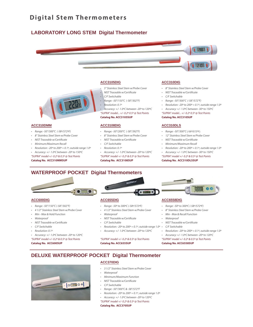### **LABORATORY LONG STEM Digital Thermometer**



#### **ACC3105DIG**

- *• 5" Stainless Steel Stem w/Probe Cover • NIST Traceable w/Certificate*
	- *• C/F Switchable*
	- *• Range: -50°/150°C (-58°/302°F)*

*• Resolution: 0.1º • Accuracy: +/- 1.0ºC between -20º to 120ºC*

*"SUPRA" model... +/- 0.2º 0.5º @ Test Points* **Catalog No. ACC3105SUP**

#### **ACC3108DIG**

- *• Range: -50°/200°C (-58°/392°F)*
- *• 8" Stainless Steel Stem w/Probe Cover*
- *• NIST Traceable w/Certificate*
- *• C/F Switchable*
- *• Resolution: 0.1º*
- *• Accuracy: +/- 1.0ºC between -20º to 120ºC*
- *"SUPRA" model +/- 0.2º & 0.5º @ Test Points*

**Catalog No. ACC3108SUP**

#### **ACC310DIG**

- *• 8" Stainless Steel Stem w/Probe Cover*
- *• NIST Traceable w/Certificate*
- *• C/F Switchable*
- *• Range: -50°/300°C (-58°/572°F)*
- *• Resolution: -20º to 200º = 0.1º, outside range 1.0º*
- *• Accuracy: +/- 1.0ºC between -30º to 150ºC*
- *"SUPRA" model... +/- 0.2º 0.5º @ Test Points*

#### **Catalog No. ACC310SUP**

#### **ACC310DLS**

- *• Range: -50°/300°C* (-58º/572ºF)
- *• 12" Stainless Steel Stem w/Probe Cover*
- *• NIST Traceable w/Certificate*
- *• Minimum/Maximum Recall*
- *• Resolution: -20º to 200º = 0.1º, outside range 1.0º*
- *• Accuracy: +/- 1.0ºC between -30º to 150ºC*

*"SUPRA" model +/- 0.2º & 0.5º @ Test Points* **Catalog No. ACC310DLSSUP**

### **WATERPROOF POCKET Digital Thermometers**



*• Resolution: -20º to 200º = 0.1º, outside range 1.0º • Accuracy: +/- 1.0ºC between -20º to 150ºC "SUPRA" model +/- 0.2º & 0.5º @ Test Points* **Catalog No. ACC310MMSUP**

**ACC600DIG**

**ACC310DMM**

*• Range: -50°/300°C (-58º/572ºF) • 8" Stainless Steel Stem w/Probe Cover • NIST Traceable w/Certificate • Minimum/Maximum Recall*

- *• Range: -50°/150°C (-58°/302°F)*
- *• 4 1/2" Stainless Steel Stem w/Probe Cover*
- *• Min Max & Hold Function*
- *• Waterproof*
- *• NIST Traceable w/Certificate*
- *• C/F Switchable*
- *• Resolution: 0.1º*
- *• Accuracy: +/- 1.0ºC between -20º to 120ºC*
- *"SUPRA" model +/- 0.2º & 0.5º @ Test Points*

**Catalog No. ACC600SUP**

#### **ACC655DIG**

- *• Range: -50º to 300ºC (-58º/572ºF)*
- *• 4 1/2" Stainless Steel Stem w/Probe Cover*
- *• Waterproof*
- *• NIST Traceable w/Certificate*
- *• C/F Switchable*
- *• Resolution: -20º to 200º = 0.1º, outside range 1.0º • C/F Switchable*
- *• Accuracy: +/- 1.0ºC between -20º to 120ºC*

*"SUPRA" model +/- 0.2º & 0.5º @ Test Points* **Catalog No. ACC655SUP**



#### **ACC6558DIG**

- *• Range: -50º to 300ºC (-58º/572ºF)*
- *• 8" Stainless Steel Stem w/Probe Cover*
- *• Min Max & Recall Function*
- *• Waterproof*
- *• NIST Traceable w/Certificate*
- 
- *• Resolution: -20º to 200º = 0.1º, outside range 1.0º*
- *• Accuracy: +/- 1.0ºC between -20º to 120ºC*
- *"SUPRA" model +/- 0.2º & 0.5º @ Test Points*

**Catalog No. ACC6558SUP**



#### **ACC370DIG**

**DELUXE WATERPROOF POCKET Digital Thermometer**

- *• 3 1/2" Stainless Steel Stem w/Probe Cover*
- *• Waterproof*
- *• Minimum/Maximum Function*
- *• NIST Traceable w/Certificate*
- *• C/F Switchable*
- *• Range: -50°/300°C & -58°/572°F*
- *• Resolution: -20º to 200º = 0.1º, outside range 1.0º*
- *• Accuracy: +/- 1.0ºC between -20º to 120ºC*

*"SUPRA" model +/- 0.2º & 0.5º @ Test Points*

#### **Catalog No. ACC370SUP**







- 
- -